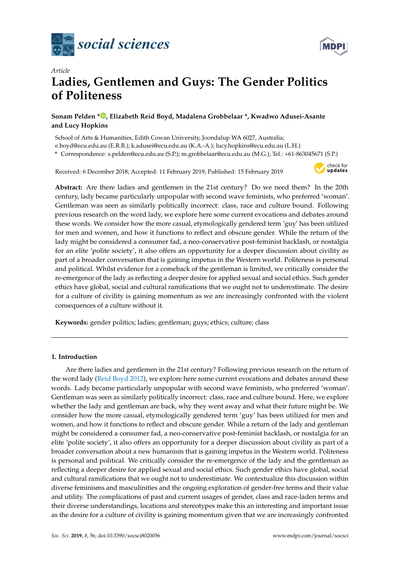



# *Article* **Ladies, Gentlemen and Guys: The Gender Politics of Politeness**

# **Sonam Pelden [\\*](https://orcid.org/0000-0003-3224-0212) , Elizabeth Reid Boyd, Madalena Grobbelaar \*, Kwadwo Adusei-Asante and Lucy Hopkins**

School of Arts & Humanities, Edith Cowan University, Joondalup WA 6027, Australia;

e.boyd@ecu.edu.au (E.R.B.); k.adusei@ecu.edu.au (K.A.-A.); lucy.hopkins@ecu.edu.au (L.H.)

**\*** Correspondence: s.pelden@ecu.edu.au (S.P.); m.grobbelaar@ecu.edu.au (M.G.); Tel.: +61-863045671 (S.P.)

Received: 6 December 2018; Accepted: 11 February 2019; Published: 15 February 2019



**Abstract:** Are there ladies and gentlemen in the 21st century? Do we need them? In the 20th century, lady became particularly unpopular with second wave feminists, who preferred 'woman'. Gentleman was seen as similarly politically incorrect: class, race and culture bound. Following previous research on the word lady, we explore here some current evocations and debates around these words. We consider how the more casual, etymologically gendered term 'guy' has been utilized for men and women, and how it functions to reflect and obscure gender. While the return of the lady might be considered a consumer fad, a neo-conservative post-feminist backlash, or nostalgia for an elite 'polite society', it also offers an opportunity for a deeper discussion about civility as part of a broader conversation that is gaining impetus in the Western world. Politeness is personal and political. Whilst evidence for a comeback of the gentleman is limited, we critically consider the re-emergence of the lady as reflecting a deeper desire for applied sexual and social ethics. Such gender ethics have global, social and cultural ramifications that we ought not to underestimate. The desire for a culture of civility is gaining momentum as we are increasingly confronted with the violent consequences of a culture without it.

**Keywords:** gender politics; ladies; gentleman; guys; ethics; culture; class

# **1. Introduction**

Are there ladies and gentlemen in the 21st century? Following previous research on the return of the word lady [\(Reid Boyd](#page-7-0) [2012\)](#page-7-0), we explore here some current evocations and debates around these words. Lady became particularly unpopular with second wave feminists, who preferred 'woman'. Gentleman was seen as similarly politically incorrect: class, race and culture bound. Here, we explore whether the lady and gentleman are back, why they went away and what their future might be. We consider how the more casual, etymologically gendered term 'guy' has been utilized for men and women, and how it functions to reflect and obscure gender. While a return of the lady and gentleman might be considered a consumer fad, a neo-conservative post-feminist backlash, or nostalgia for an elite 'polite society', it also offers an opportunity for a deeper discussion about civility as part of a broader conversation about a new humanism that is gaining impetus in the Western world. Politeness is personal and political. We critically consider the re-emergence of the lady and the gentleman as reflecting a deeper desire for applied sexual and social ethics. Such gender ethics have global, social and cultural ramifications that we ought not to underestimate. We contextualize this discussion within diverse feminisms and masculinities and the ongoing exploration of gender-free terms and their value and utility. The complications of past and current usages of gender, class and race-laden terms and their diverse understandings, locations and stereotypes make this an interesting and important issue as the desire for a culture of civility is gaining momentum given that we are increasingly confronted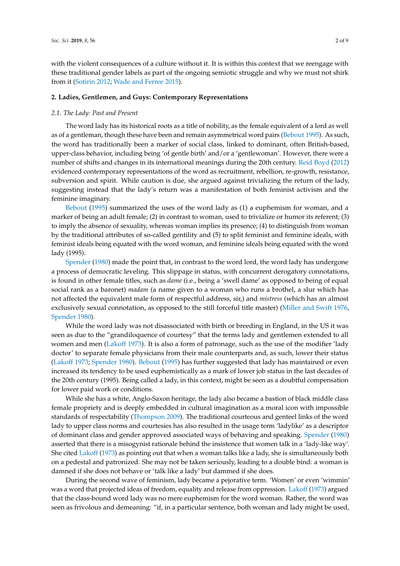with the violent consequences of a culture without it. It is within this context that we reengage with these traditional gender labels as part of the ongoing semiotic struggle and why we must not shirk from it [\(Sotirin](#page-8-0) [2012;](#page-8-0) [Wade and Ferree](#page-8-1) [2015\)](#page-8-1).

# **2. Ladies, Gentlemen, and Guys: Contemporary Representations**

#### *2.1. The Lady: Past and Present*

The word lady has its historical roots as a title of nobility, as the female equivalent of a lord as well as of a gentleman, though these have been and remain asymmetrical word pairs [\(Bebout](#page-7-1) [1995\)](#page-7-1). As such, the word has traditionally been a marker of social class, linked to dominant, often British-based, upper-class behavior, including being 'of gentle birth' and/or a 'gentlewoman'. However, there were a number of shifts and changes in its international meanings during the 20th century. [Reid Boyd](#page-7-0) [\(2012\)](#page-7-0) evidenced contemporary representations of the word as recruitment, rebellion, re-growth, resistance, subversion and spirit. While caution is due, she argued against trivializing the return of the lady, suggesting instead that the lady's return was a manifestation of both feminist activism and the feminine imaginary.

[Bebout](#page-7-1) [\(1995\)](#page-7-1) summarized the uses of the word lady as (1) a euphemism for woman, and a marker of being an adult female; (2) in contrast to woman, used to trivialize or humor its referent; (3) to imply the absence of sexuality, whereas woman implies its presence; (4) to distinguish from woman by the traditional attributes of so-called gentility and (5) to split feminist and feminine ideals, with feminist ideals being equated with the word woman, and feminine ideals being equated with the word lady (1995).

[Spender](#page-8-2) [\(1980\)](#page-8-2) made the point that, in contrast to the word lord, the word lady has undergone a process of democratic leveling. This slippage in status, with concurrent derogatory connotations, is found in other female titles, such as *dame* (i.e., being a 'swell dame' as opposed to being of equal social rank as a baronet) *madam* (a name given to a woman who runs a brothel, a slur which has not affected the equivalent male form of respectful address, sir,) and *mistress* (which has an almost exclusively sexual connotation, as opposed to the still forceful title master) [\(Miller and Swift](#page-7-2) [1976,](#page-7-2) [Spender](#page-8-2) [1980\)](#page-8-2).

While the word lady was not disassociated with birth or breeding in England, in the US it was seen as due to the "grandiloquence of courtesy" that the terms lady and gentlemen extended to all women and men [\(Lakoff](#page-7-3) [1973\)](#page-7-3). It is also a form of patronage, such as the use of the modifier 'lady doctor' to separate female physicians from their male counterparts and, as such, lower their status [\(Lakoff](#page-7-3) [1973;](#page-7-3) [Spender](#page-8-2) [1980\)](#page-8-2). [Bebout](#page-7-1) [\(1995\)](#page-7-1) has further suggested that lady has maintained or even increased its tendency to be used euphemistically as a mark of lower job status in the last decades of the 20th century (1995). Being called a lady, in this context, might be seen as a doubtful compensation for lower paid work or conditions.

While she has a white, Anglo-Saxon heritage, the lady also became a bastion of black middle class female propriety and is deeply embedded in cultural imagination as a moral icon with impossible standards of respectability [\(Thompson](#page-8-3) [2009\)](#page-8-3). The traditional courteous and genteel links of the word lady to upper class norms and courtesies has also resulted in the usage term 'ladylike' as a descriptor of dominant class and gender approved associated ways of behaving and speaking. [Spender](#page-8-2) [\(1980\)](#page-8-2) asserted that there is a misogynist rationale behind the insistence that women talk in a 'lady-like way'. She cited [Lakoff](#page-7-3) [\(1973\)](#page-7-3) as pointing out that when a woman talks like a lady, she is simultaneously both on a pedestal and patronized. She may not be taken seriously, leading to a double bind: a woman is damned if she does not behave or 'talk like a lady' but dammed if she does.

During the second wave of feminism, lady became a pejorative term. 'Women' or even 'wimmin' was a word that projected ideas of freedom, equality and release from oppression. [Lakoff](#page-7-3) [\(1973\)](#page-7-3) argued that the class-bound word lady was no mere euphemism for the word woman. Rather, the word was seen as frivolous and demeaning: "if, in a particular sentence, both woman and lady might be used,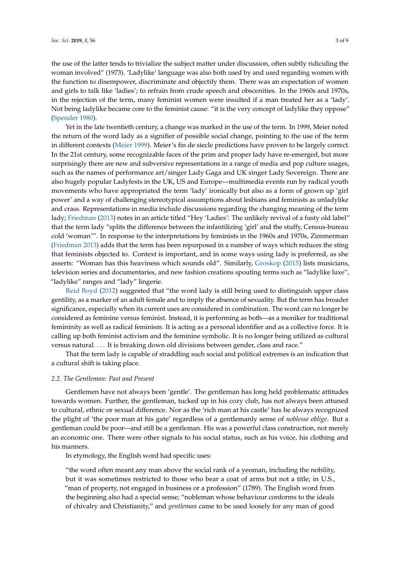the use of the latter tends to trivialize the subject matter under discussion, often subtly ridiculing the woman involved" (1973). 'Ladylike' language was also both used by and used regarding women with the function to disempower, discriminate and objectify them. There was an expectation of women and girls to talk like 'ladies'; to refrain from crude speech and obscenities. In the 1960s and 1970s, in the rejection of the term, many feminist women were insulted if a man treated her as a 'lady'. Not being ladylike became core to the feminist cause: "it is the very concept of ladylike they oppose" [\(Spender](#page-8-2) [1980\)](#page-8-2).

Yet in the late twentieth century, a change was marked in the use of the term. In 1999, Meier noted the return of the word lady as a signifier of possible social change, pointing to the use of the term in different contexts [\(Meier](#page-7-4) [1999\)](#page-7-4). Meier's fin de siecle predictions have proven to be largely correct. In the 21st century, some recognizable faces of the prim and proper lady have re-emerged, but more surprisingly there are new and subversive representations in a range of media and pop culture usages, such as the names of performance art/singer Lady Gaga and UK singer Lady Sovereign. There are also hugely popular Ladyfests in the UK, US and Europe—multimedia events run by radical youth movements who have appropriated the term 'lady' ironically but also as a form of grown up 'girl power' and a way of challenging stereotypical assumptions about lesbians and feminists as unladylike and crass. Representations in media include discussions regarding the changing meaning of the term lady; [Friedman](#page-7-5) [\(2013\)](#page-7-5) notes in an article titled "Hey 'Ladies': The unlikely revival of a fusty old label" that the term lady "splits the difference between the infantilizing 'girl' and the stuffy, Census-bureau cold 'woman'". In response to the interpretations by feminists in the 1960s and 1970s, Zimmerman [\(Friedman](#page-7-5) [2013\)](#page-7-5) adds that the term has been repurposed in a number of ways which reduces the sting that feminists objected to. Context is important, and in some ways using lady is preferred, as she asserts: "Woman has this heaviness which sounds old". Similarly, [Groskop](#page-7-6) [\(2015\)](#page-7-6) lists musicians, television series and documentaries, and new fashion creations spouting terms such as "ladylike luxe", "ladylike" ranges and "lady" lingerie.

[Reid Boyd](#page-7-0) [\(2012\)](#page-7-0) suggested that "the word lady is still being used to distinguish upper class gentility, as a marker of an adult female and to imply the absence of sexuality. But the term has broader significance, especially when its current uses are considered in combination. The word can no longer be considered as feminine versus feminist. Instead, it is performing as both—as a moniker for traditional femininity as well as radical feminism. It is acting as a personal identifier and as a collective force. It is calling up both feminist activism and the feminine symbolic. It is no longer being utilized as cultural versus natural. . . . It is breaking down old divisions between gender, class and race."

That the term lady is capable of straddling such social and political extremes is an indication that a cultural shift is taking place.

# *2.2. The Gentleman: Past and Present*

Gentlemen have not always been 'gentle'. The gentleman has long held problematic attitudes towards women. Further, the gentleman, tucked up in his cozy club, has not always been attuned to cultural, ethnic or sexual difference. Nor as the 'rich man at his castle' has he always recognized the plight of 'the poor man at his gate' regardless of a gentlemanly sense of *noblesse oblige*. But a gentleman could be poor—and still be a gentleman. His was a powerful class construction, not merely an economic one. There were other signals to his social status, such as his voice, his clothing and his manners.

In etymology, the English word had specific uses:

"the word often meant any man above the social rank of a yeoman, including the nobility, but it was sometimes restricted to those who bear a coat of arms but not a title; in U.S., "man of property, not engaged in business or a profession" (1789). The English word from the beginning also had a special sense; "nobleman whose behaviour conforms to the ideals of chivalry and Christianity," and *gentleman* came to be used loosely for any man of good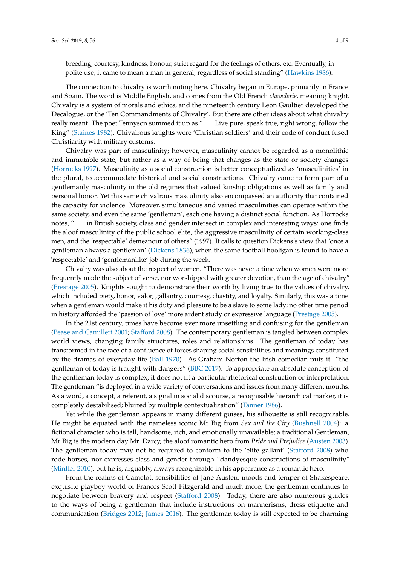breeding, courtesy, kindness, honour, strict regard for the feelings of others, etc. Eventually, in polite use, it came to mean a man in general, regardless of social standing" [\(Hawkins](#page-7-7) [1986\)](#page-7-7).

The connection to chivalry is worth noting here. Chivalry began in Europe, primarily in France and Spain. The word is Middle English, and comes from the Old French *chevalerie*, meaning knight. Chivalry is a system of morals and ethics, and the nineteenth century Leon Gaultier developed the Decalogue, or the 'Ten Commandments of Chivalry'. But there are other ideas about what chivalry really meant. The poet Tennyson summed it up as " . . . Live pure, speak true, right wrong, follow the King" [\(Staines](#page-8-4) [1982\)](#page-8-4). Chivalrous knights were 'Christian soldiers' and their code of conduct fused Christianity with military customs.

Chivalry was part of masculinity; however, masculinity cannot be regarded as a monolithic and immutable state, but rather as a way of being that changes as the state or society changes [\(Horrocks](#page-7-8) [1997\)](#page-7-8). Masculinity as a social construction is better conceptualized as 'masculinities' in the plural, to accommodate historical and social constructions. Chivalry came to form part of a gentlemanly masculinity in the old regimes that valued kinship obligations as well as family and personal honor. Yet this same chivalrous masculinity also encompassed an authority that contained the capacity for violence. Moreover, simultaneous and varied masculinities can operate within the same society, and even the same 'gentleman', each one having a distinct social function. As Horrocks notes, " . . . in British society, class and gender intersect in complex and interesting ways: one finds the aloof masculinity of the public school elite, the aggressive masculinity of certain working-class men, and the 'respectable' demeanour of others" (1997). It calls to question Dickens's view that 'once a gentleman always a gentleman' [\(Dickens](#page-7-9) [1836\)](#page-7-9), when the same football hooligan is found to have a 'respectable' and 'gentlemanlike' job during the week.

Chivalry was also about the respect of women. "There was never a time when women were more frequently made the subject of verse, nor worshipped with greater devotion, than the age of chivalry" [\(Prestage](#page-7-10) [2005\)](#page-7-10). Knights sought to demonstrate their worth by living true to the values of chivalry, which included piety, honor, valor, gallantry, courtesy, chastity, and loyalty. Similarly, this was a time when a gentleman would make it his duty and pleasure to be a slave to some lady; no other time period in history afforded the 'passion of love' more ardent study or expressive language [\(Prestage](#page-7-10) [2005\)](#page-7-10).

In the 21st century, times have become ever more unsettling and confusing for the gentleman [\(Pease and Camilleri](#page-7-11) [2001;](#page-7-11) [Stafford](#page-8-5) [2008\)](#page-8-5). The contemporary gentleman is tangled between complex world views, changing family structures, roles and relationships. The gentleman of today has transformed in the face of a confluence of forces shaping social sensibilities and meanings constituted by the dramas of everyday life [\(Ball](#page-7-12) [1970\)](#page-7-12). As Graham Norton the Irish comedian puts it: "the gentleman of today is fraught with dangers" [\(BBC](#page-7-13) [2017\)](#page-7-13). To appropriate an absolute conception of the gentleman today is complex; it does not fit a particular rhetorical construction or interpretation. The gentleman "is deployed in a wide variety of conversations and issues from many different mouths. As a word, a concept, a referent, a signal in social discourse, a recognisable hierarchical marker, it is completely destabilised; blurred by multiple contextualization" [\(Tanner](#page-8-6) [1986\)](#page-8-6).

Yet while the gentleman appears in many different guises, his silhouette is still recognizable. He might be equated with the nameless iconic Mr Big from *Sex and the City* [\(Bushnell](#page-7-14) [2004\)](#page-7-14): a fictional character who is tall, handsome, rich, and emotionally unavailable; a traditional Gentleman, Mr Big is the modern day Mr. Darcy, the aloof romantic hero from *Pride and Prejudice* [\(Austen](#page-7-15) [2003\)](#page-7-15). The gentleman today may not be required to conform to the 'elite gallant' [\(Stafford](#page-8-5) [2008\)](#page-8-5) who rode horses, nor expresses class and gender through "dandyesque constructions of masculinity" [\(Mintler](#page-7-16) [2010\)](#page-7-16), but he is, arguably, always recognizable in his appearance as a romantic hero.

From the realms of Camelot, sensibilities of Jane Austen, moods and temper of Shakespeare, exquisite playboy world of Frances Scott Fitzgerald and much more, the gentleman continues to negotiate between bravery and respect [\(Stafford](#page-8-5) [2008\)](#page-8-5). Today, there are also numerous guides to the ways of being a gentleman that include instructions on mannerisms, dress etiquette and communication [\(Bridges](#page-7-17) [2012;](#page-7-17) [James](#page-7-18) [2016\)](#page-7-18). The gentleman today is still expected to be charming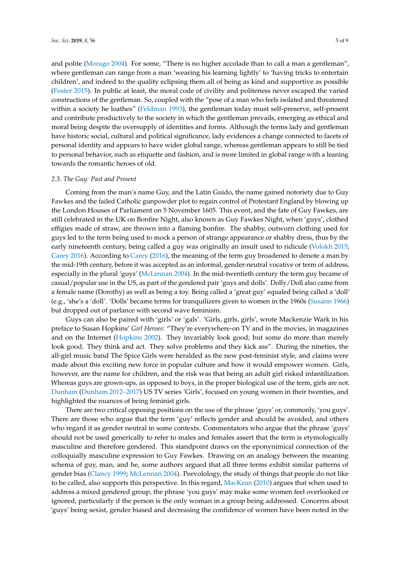and polite [\(Morago](#page-7-19) [2004\)](#page-7-19). For some, "There is no higher accolade than to call a man a gentleman", where gentleman can range from a man 'wearing his learning lightly' to 'having tricks to entertain children', and indeed to the quality eclipsing them all of being as kind and supportive as possible [\(Foster](#page-7-20) [2015\)](#page-7-20). In public at least, the moral code of civility and politeness never escaped the varied constructions of the gentleman. So, coupled with the "pose of a man who feels isolated and threatened within a society he loathes" [\(Feldman](#page-7-21) [1993\)](#page-7-21), the gentleman today must self-preserve, self-present and contribute productively to the society in which the gentleman prevails, emerging as ethical and moral being despite the oversupply of identities and forms. Although the terms lady and gentleman have historic social, cultural and political significance, lady evidences a change connected to facets of personal identity and appears to have wider global range, whereas gentleman appears to still be tied to personal behavior, such as etiquette and fashion, and is more limited in global range with a leaning towards the romantic heroes of old.

# *2.3. The Guy: Past and Present*

Coming from the man's name Guy, and the Latin Guido, the name gained notoriety due to Guy Fawkes and the failed Catholic gunpowder plot to regain control of Protestant England by blowing up the London Houses of Parliament on 5 November 1605. This event, and the fate of Guy Fawkes, are still celebrated in the UK on Bonfire Night, also known as Guy Fawkes Night, when 'guys', clothed effigies made of straw, are thrown into a flaming bonfire. The shabby, outworn clothing used for guys led to the term being used to mock a person of strange appearance or shabby dress, thus by the early nineteenth century, being called a guy was originally an insult used to ridicule [\(Volokh](#page-8-7) [2015;](#page-8-7) [Carey](#page-7-22) [2016\)](#page-7-22). According to [Carey](#page-7-22) [\(2016\)](#page-7-22), the meaning of the term guy broadened to denote a man by the mid-19th century, before it was accepted as an informal, gender-neutral vocative or term of address, especially in the plural 'guys' [\(McLennan](#page-7-23) [2004\)](#page-7-23). In the mid-twentieth century the term guy became of casual/popular use in the US, as part of the gendered pair 'guys and dolls'. Dolly/Doll also came from a female name (Dorothy) as well as being a toy. Being called a 'great guy' equaled being called a 'doll' (e.g., 'she's a 'doll'. 'Dolls' became terms for tranquilizers given to women in the 1960s [\(Susann](#page-8-8) [1966\)](#page-8-8) but dropped out of parlance with second wave feminism.

Guys can also be paired with 'girls' or 'gals'. 'Girls, girls, girls', wrote Mackenzie Wark in his preface to Susan Hopkins' *Girl Heroes*: "They're everywhere-on TV and in the movies, in magazines and on the Internet [\(Hopkins](#page-7-24) [2002\)](#page-7-24). They invariably look good; but some do more than merely look good. They think and act. They solve problems and they kick ass". During the nineties, the all-girl music band The Spice Girls were heralded as the new post-feminist style, and claims were made about this exciting new force in popular culture and how it would empower women. Girls, however, are the name for children, and the risk was that being an adult girl risked infantilization. Whereas guys are grown-ups, as opposed to boys, in the proper biological use of the term, girls are not. [Dunham](#page-7-25) [\(Dunham](#page-7-25) [2012–2017\)](#page-7-25) US TV series 'Girls', focused on young women in their twenties, and highlighted the nuances of being feminist girls.

There are two critical opposing positions on the use of the phrase 'guys' or, commonly, 'you guys'. There are those who argue that the term 'guy' reflects gender and should be avoided, and others who regard it as gender neutral in some contexts. Commentators who argue that the phrase 'guys' should not be used generically to refer to males and females assert that the term is etymologically masculine and therefore gendered. This standpoint draws on the eponynimical connection of the colloquially masculine expression to Guy Fawkes. Drawing on an analogy between the meaning schema of guy, man, and he, some authors argued that all three terms exhibit similar patterns of gender bias [\(Clancy](#page-7-26) [1999;](#page-7-26) [McLennan](#page-7-23) [2004\)](#page-7-23). Peevolology, the study of things that people do not like to be called, also supports this perspective. In this regard, [MacKean](#page-7-27) [\(2010\)](#page-7-27) argues that when used to address a mixed gendered group, the phrase 'you guys' may make some women feel overlooked or ignored, particularly if the person is the only woman in a group being addressed. Concerns about 'guys' being sexist, gender biased and decreasing the confidence of women have been noted in the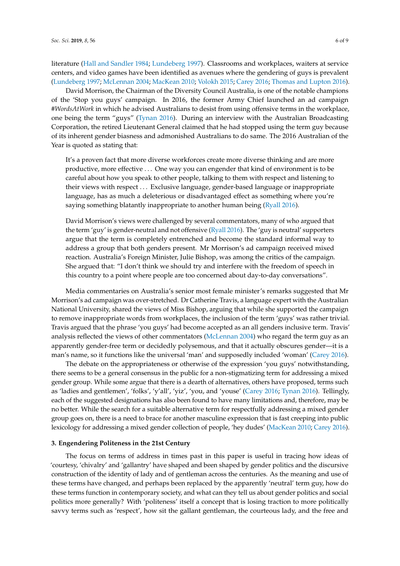literature [\(Hall and Sandler](#page-7-28) [1984;](#page-7-28) [Lundeberg](#page-7-29) [1997\)](#page-7-29). Classrooms and workplaces, waiters at service centers, and video games have been identified as avenues where the gendering of guys is prevalent [\(Lundeberg](#page-7-29) [1997;](#page-7-29) [McLennan](#page-7-23) [2004;](#page-7-23) [MacKean](#page-7-27) [2010;](#page-7-27) [Volokh](#page-8-7) [2015;](#page-8-7) [Carey](#page-7-22) [2016;](#page-7-22) [Thomas and Lupton](#page-8-9) [2016\)](#page-8-9).

David Morrison, the Chairman of the Diversity Council Australia, is one of the notable champions of the 'Stop you guys' campaign. In 2016, the former Army Chief launched an ad campaign #*WordsAtWork* in which he advised Australians to desist from using offensive terms in the workplace, one being the term "guys" [\(Tynan](#page-8-10) [2016\)](#page-8-10). During an interview with the Australian Broadcasting Corporation, the retired Lieutenant General claimed that he had stopped using the term guy because of its inherent gender biasness and admonished Australians to do same. The 2016 Australian of the Year is quoted as stating that:

It's a proven fact that more diverse workforces create more diverse thinking and are more productive, more effective . . . One way you can engender that kind of environment is to be careful about how you speak to other people, talking to them with respect and listening to their views with respect . . . Exclusive language, gender-based language or inappropriate language, has as much a deleterious or disadvantaged effect as something where you're saying something blatantly inappropriate to another human being [\(Ryall](#page-8-11) [2016\)](#page-8-11).

David Morrison's views were challenged by several commentators, many of who argued that the term 'guy' is gender-neutral and not offensive [\(Ryall](#page-8-11) [2016\)](#page-8-11). The 'guy is neutral' supporters argue that the term is completely entrenched and become the standard informal way to address a group that both genders present. Mr Morrison's ad campaign received mixed reaction. Australia's Foreign Minister, Julie Bishop, was among the critics of the campaign. She argued that: "I don't think we should try and interfere with the freedom of speech in this country to a point where people are too concerned about day-to-day conversations".

Media commentaries on Australia's senior most female minister's remarks suggested that Mr Morrison's ad campaign was over-stretched. Dr Catherine Travis, a language expert with the Australian National University, shared the views of Miss Bishop, arguing that while she supported the campaign to remove inappropriate words from workplaces, the inclusion of the term 'guys' was rather trivial. Travis argued that the phrase 'you guys' had become accepted as an all genders inclusive term. Travis' analysis reflected the views of other commentators [\(McLennan](#page-7-23) [2004\)](#page-7-23) who regard the term guy as an apparently gender-free term or decidedly polysemous, and that it actually obscures gender—it is a man's name, so it functions like the universal 'man' and supposedly included 'woman' [\(Carey](#page-7-22) [2016\)](#page-7-22).

The debate on the appropriateness or otherwise of the expression 'you guys' notwithstanding, there seems to be a general consensus in the public for a non-stigmatizing term for addressing a mixed gender group. While some argue that there is a dearth of alternatives, others have proposed, terms such as 'ladies and gentlemen', 'folks', 'y'all', 'yiz', 'you, and 'youse' [\(Carey](#page-7-22) [2016;](#page-7-22) [Tynan](#page-8-10) [2016\)](#page-8-10). Tellingly, each of the suggested designations has also been found to have many limitations and, therefore, may be no better. While the search for a suitable alternative term for respectfully addressing a mixed gender group goes on, there is a need to brace for another masculine expression that is fast creeping into public lexicology for addressing a mixed gender collection of people, 'hey dudes' [\(MacKean](#page-7-27) [2010;](#page-7-27) [Carey](#page-7-22) [2016\)](#page-7-22).

#### **3. Engendering Politeness in the 21st Century**

The focus on terms of address in times past in this paper is useful in tracing how ideas of 'courtesy, 'chivalry' and 'gallantry' have shaped and been shaped by gender politics and the discursive construction of the identity of lady and of gentleman across the centuries. As the meaning and use of these terms have changed, and perhaps been replaced by the apparently 'neutral' term guy, how do these terms function in contemporary society, and what can they tell us about gender politics and social politics more generally? With 'politeness' itself a concept that is losing traction to more politically savvy terms such as 'respect', how sit the gallant gentleman, the courteous lady, and the free and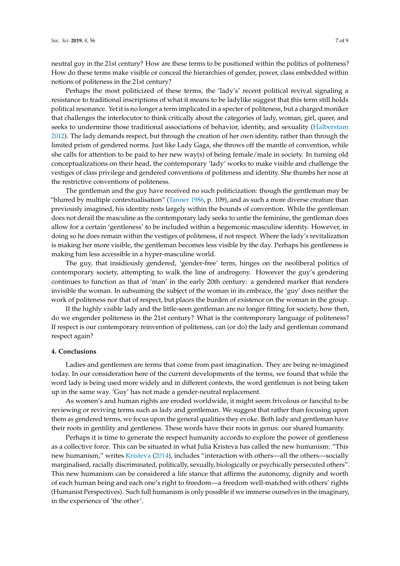neutral guy in the 21st century? How are these terms to be positioned within the politics of politeness? How do these terms make visible or conceal the hierarchies of gender, power, class embedded within notions of politeness in the 21st century?

Perhaps the most politicized of these terms, the 'lady's' recent political revival signaling a resistance to traditional inscriptions of what it means to be ladylike suggest that this term still holds political resonance. Yet it is no longer a term implicated in a specter of politeness, but a charged moniker that challenges the interlocutor to think critically about the categories of lady, woman, girl, queer, and seeks to undermine those traditional associations of behavior, identity, and sexuality [\(Halberstam](#page-7-30) [2012\)](#page-7-30). The lady demands respect, but through the creation of her own identity, rather than through the limited prism of gendered norms. Just like Lady Gaga, she throws off the mantle of convention, while she calls for attention to be paid to her new way(s) of being female/male in society. In turning old conceptualizations on their head, the contemporary 'lady' works to make visible and challenge the vestiges of class privilege and gendered conventions of politeness and identity. She thumbs her nose at the restrictive conventions of politeness.

The gentleman and the guy have received no such politicization: though the gentleman may be "blurred by multiple contextualisation" [\(Tanner](#page-8-6) [1986,](#page-8-6) p. 109), and as such a more diverse creature than previously imagined, his identity rests largely within the bounds of convention. While the gentleman does not derail the masculine as the contemporary lady seeks to untie the feminine, the gentleman does allow for a certain 'gentleness' to be included within a hegemonic masculine identity. However, in doing so he does remain within the vestiges of politeness, if not respect. Where the lady's revitalization is making her more visible, the gentleman becomes less visible by the day. Perhaps his gentleness is making him less accessible in a hyper-masculine world.

The guy, that insidiously gendered, 'gender-free' term, hinges on the neoliberal politics of contemporary society, attempting to walk the line of androgeny. However the guy's gendering continues to function as that of 'man' in the early 20th century: a gendered marker that renders invisible the woman. In subsuming the subject of the woman in its embrace, the 'guy' does neither the work of politeness nor that of respect, but places the burden of existence on the woman in the group.

If the highly visible lady and the little-seen gentleman are no longer fitting for society, how then, do we engender politeness in the 21st century? What is the contemporary language of politeness? If respect is our contemporary reinvention of politeness, can (or do) the lady and gentleman command respect again?

# **4. Conclusions**

Ladies and gentlemen are terms that come from past imagination. They are being re-imagined today. In our consideration here of the current developments of the terms, we found that while the word lady is being used more widely and in different contexts, the word gentleman is not being taken up in the same way. 'Guy' has not made a gender-neutral replacement.

As women's and human rights are eroded worldwide, it might seem frivolous or fanciful to be reviewing or reviving terms such as lady and gentleman. We suggest that rather than focusing upon them as gendered terms, we focus upon the general qualities they evoke. Both lady and gentleman have their roots in gentility and gentleness. These words have their roots in genus: our shared humanity.

Perhaps it is time to generate the respect humanity accords to explore the power of gentleness as a collective force. This can be situated in what Julia Kristeva has called the new humanism: "This new humanism," writes [Kristeva](#page-7-31) [\(2014\)](#page-7-31), includes "interaction with others—all the others—socially marginalised, racially discriminated, politically, sexually, biologically or psychically persecuted others". This new humanism can be considered a life stance that affirms the autonomy, dignity and worth of each human being and each one's right to freedom—a freedom well-matched with others' rights (Humanist Perspectives). Such full humanism is only possible if we immerse ourselves in the imaginary, in the experience of 'the other'.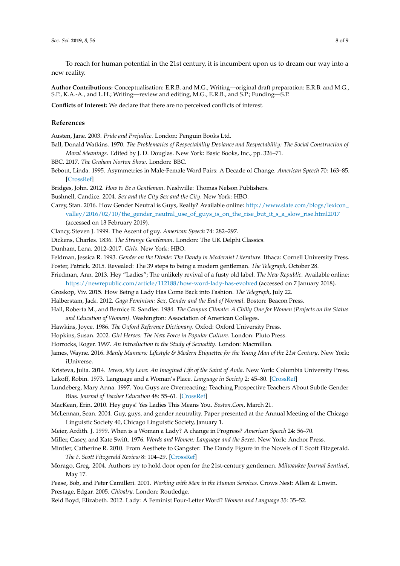To reach for human potential in the 21st century, it is incumbent upon us to dream our way into a new reality.

**Author Contributions:** Conceptualisation: E.R.B. and M.G.; Writing—original draft preparation: E.R.B. and M.G., S.P., K.A.-A., and L.H.; Writing—review and editing, M.G., E.R.B., and S.P.; Funding—S.P.

**Conflicts of Interest:** We declare that there are no perceived conflicts of interest.

# **References**

<span id="page-7-15"></span>Austen, Jane. 2003. *Pride and Prejudice*. London: Penguin Books Ltd.

- <span id="page-7-12"></span>Ball, Donald Watkins. 1970. *The Problematics of Respectability Deviance and Respectability: The Social Construction of Moral Meanings*. Edited by J. D. Douglas. New York: Basic Books, Inc., pp. 326–71.
- <span id="page-7-13"></span>BBC. 2017. *The Graham Norton Show*. London: BBC.
- <span id="page-7-1"></span>Bebout, Linda. 1995. Asymmetries in Male-Female Word Pairs: A Decade of Change. *American Speech* 70: 163–85. [\[CrossRef\]](http://dx.doi.org/10.2307/455814)
- <span id="page-7-17"></span>Bridges, John. 2012. *How to Be a Gentleman*. Nashville: Thomas Nelson Publishers.
- <span id="page-7-14"></span>Bushnell, Candice. 2004. *Sex and the City Sex and the City*. New York: HBO.
- <span id="page-7-22"></span>Carey, Stan. 2016. How Gender Neutral is Guys, Really? Available online: [http://www.slate.com/blogs/lexicon\\_](http://www.slate.com/blogs/lexicon_valley/2016/02/10/the_gender_neutral_use_of_guys_is_on_the_rise_but_it_s_a_slow_rise.html 2017) [valley/2016/02/10/the\\_gender\\_neutral\\_use\\_of\\_guys\\_is\\_on\\_the\\_rise\\_but\\_it\\_s\\_a\\_slow\\_rise.html2017](http://www.slate.com/blogs/lexicon_valley/2016/02/10/the_gender_neutral_use_of_guys_is_on_the_rise_but_it_s_a_slow_rise.html 2017) (accessed on 13 February 2019).
- <span id="page-7-26"></span><span id="page-7-9"></span>Clancy, Steven J. 1999. The Ascent of guy. *American Speech* 74: 282–297.
- Dickens, Charles. 1836. *The Strange Gentleman*. London: The UK Delphi Classics.
- <span id="page-7-25"></span>Dunham, Lena. 2012–2017. *Girls*. New York: HBO.
- <span id="page-7-21"></span>Feldman, Jessica R. 1993. *Gender on the Divide: The Dandy in Modernist Literature*. Ithaca: Cornell University Press.
- <span id="page-7-20"></span>Foster, Patrick. 2015. Revealed: The 39 steps to being a modern gentleman. *The Telegraph*, October 28.
- <span id="page-7-5"></span>Friedman, Ann. 2013. Hey "Ladies"; The unlikely revival of a fusty old label. *The New Republic*. Available online: <https://newrepublic.com/article/112188/how-word-lady-has-evolved> (accessed on 7 January 2018).
- <span id="page-7-6"></span>Groskop, Viv. 2015. How Being a Lady Has Come Back into Fashion. *The Telegraph*, July 22.
- <span id="page-7-30"></span><span id="page-7-28"></span>Halberstam, Jack. 2012. *Gaga Feminism: Sex, Gender and the End of Normal*. Boston: Beacon Press.
- Hall, Roberta M., and Bernice R. Sandler. 1984. *The Campus Climate: A Chilly One for Women (Projects on the Status and Education of Women)*. Washington: Association of American Colleges.
- <span id="page-7-7"></span>Hawkins, Joyce. 1986. *The Oxford Reference Dictionary*. Oxfod: Oxford University Press.
- <span id="page-7-24"></span>Hopkins, Susan. 2002. *Girl Heroes: The New Force in Popular Culture*. London: Pluto Press.
- <span id="page-7-8"></span>Horrocks, Roger. 1997. *An Introduction to the Study of Sexuality*. London: Macmillan.
- <span id="page-7-18"></span>James, Wayne. 2016. *Manly Manners: Lifestyle & Modern Etiquettee for the Young Man of the 21st Century*. New York: iUniverse.
- <span id="page-7-31"></span><span id="page-7-3"></span>Kristeva, Julia. 2014. *Teresa, My Love: An Imagined Life of the Saint of Avila*. New York: Columbia University Press. Lakoff, Robin. 1973. Language and a Woman's Place. *Language in Society* 2: 45–80. [\[CrossRef\]](http://dx.doi.org/10.1017/S0047404500000051)
- <span id="page-7-29"></span>Lundeberg, Mary Anna. 1997. You Guys are Overreacting: Teaching Prospective Teachers About Subtle Gender Bias. *Journal of Teacher Education* 48: 55–61. [\[CrossRef\]](http://dx.doi.org/10.1177/0022487197048001008)
- <span id="page-7-27"></span>MacKean, Erin. 2010. Hey guys! Yes Ladies This Means You. *Boston.Com*, March 21.
- <span id="page-7-23"></span>McLennan, Sean. 2004. Guy, guys, and gender neutrality. Paper presented at the Annual Meeting of the Chicago Linguistic Society 40, Chicago Linguistic Society, January 1.
- <span id="page-7-4"></span>Meier, Ardith. J. 1999. When is a Woman a Lady? A change in Progress? *American Speech* 24: 56–70.
- <span id="page-7-2"></span>Miller, Casey, and Kate Swift. 1976. *Words and Women: Language and the Sexes*. New York: Anchor Press.
- <span id="page-7-16"></span>Mintler, Catherine R. 2010. From Aesthete to Gangster: The Dandy Figure in the Novels of F. Scott Fitzgerald. *The F. Scott Fitzgerald Review* 8: 104–29. [\[CrossRef\]](http://dx.doi.org/10.1111/j.1755-6333.2010.01036.x)
- <span id="page-7-19"></span>Morago, Greg. 2004. Authors try to hold door open for the 21st-century gentlemen. *Milwaukee Journal Sentinel*, May 17.
- <span id="page-7-11"></span><span id="page-7-10"></span>Pease, Bob, and Peter Camilleri. 2001. *Working with Men in the Human Services*. Crows Nest: Allen & Unwin. Prestage, Edgar. 2005. *Chivalry*. London: Routledge.
- <span id="page-7-0"></span>Reid Boyd, Elizabeth. 2012. Lady: A Feminist Four-Letter Word? *Women and Language* 35: 35–52.